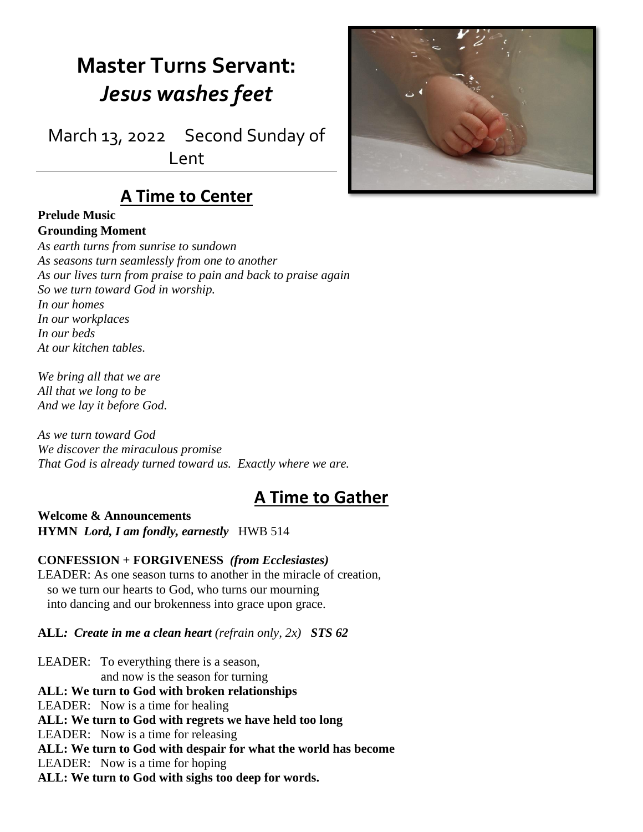# **Master Turns Servant:** *Jesus washes feet*

March 13, 2022 Second Sunday of Lent

### **A Time to Center**

#### **Prelude Music Grounding Moment**

*As earth turns from sunrise to sundown As seasons turn seamlessly from one to another As our lives turn from praise to pain and back to praise again So we turn toward God in worship. In our homes In our workplaces In our beds At our kitchen tables.*

*We bring all that we are All that we long to be And we lay it before God.*

*As we turn toward God We discover the miraculous promise That God is already turned toward us. Exactly where we are.*

## **A Time to Gather**

**Welcome & Announcements HYMN** *Lord, I am fondly, earnestly* HWB 514

**CONFESSION + FORGIVENESS** *(from Ecclesiastes)* LEADER: As one season turns to another in the miracle of creation, so we turn our hearts to God, who turns our mourning into dancing and our brokenness into grace upon grace.

**ALL***: Create in me a clean heart (refrain only, 2x) STS 62*

LEADER: To everything there is a season, and now is the season for turning **ALL: We turn to God with broken relationships** LEADER: Now is a time for healing **ALL: We turn to God with regrets we have held too long** LEADER: Now is a time for releasing **ALL: We turn to God with despair for what the world has become** LEADER: Now is a time for hoping **ALL: We turn to God with sighs too deep for words.**

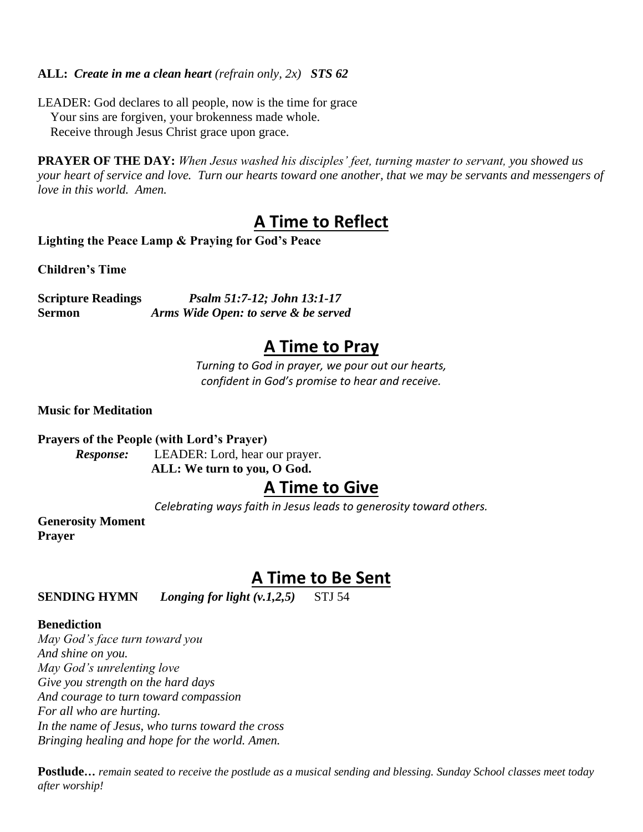#### **ALL:** *Create in me a clean heart (refrain only, 2x) STS 62*

LEADER: God declares to all people, now is the time for grace Your sins are forgiven, your brokenness made whole. Receive through Jesus Christ grace upon grace.

**PRAYER OF THE DAY:** *When Jesus washed his disciples' feet, turning master to servant, you showed us your heart of service and love. Turn our hearts toward one another, that we may be servants and messengers of love in this world. Amen.*

### **A Time to Reflect**

**Lighting the Peace Lamp & Praying for God's Peace**

**Children's Time**

**Scripture Readings** *Psalm 51:7-12; John 13:1-17* **Sermon** *Arms Wide Open: to serve & be served*

### **A Time to Pray**

*Turning to God in prayer, we pour out our hearts, confident in God's promise to hear and receive.*

**Music for Meditation**

**Prayers of the People (with Lord's Prayer)**

*Response:* LEADER: Lord, hear our prayer. **ALL: We turn to you, O God.**

#### **A Time to Give**

*Celebrating ways faith in Jesus leads to generosity toward others.*

**Generosity Moment Prayer**

### **A Time to Be Sent**

**SENDING HYMN** *Longing for light (v.1,2,5)* STJ 54

#### **Benediction**

*May God's face turn toward you And shine on you. May God's unrelenting love Give you strength on the hard days And courage to turn toward compassion For all who are hurting. In the name of Jesus, who turns toward the cross Bringing healing and hope for the world. Amen.*

**Postlude…** *remain seated to receive the postlude as a musical sending and blessing. Sunday School classes meet today after worship!*